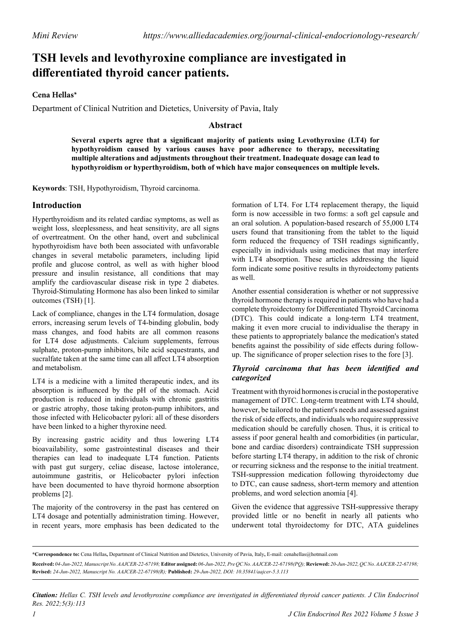# **TSH levels and levothyroxine compliance are investigated in differentiated thyroid cancer patients.**

#### **Cena Hellas\***

Department of Clinical Nutrition and Dietetics, University of Pavia, Italy

## **Abstract**

**Several experts agree that a significant majority of patients using Levothyroxine (LT4) for hypothyroidism caused by various causes have poor adherence to therapy, necessitating multiple alterations and adjustments throughout their treatment. Inadequate dosage can lead to hypothyroidism or hyperthyroidism, both of which have major consequences on multiple levels.**

**Keywords**: TSH, Hypothyroidism, Thyroid carcinoma.

### **Introduction**

Hyperthyroidism and its related cardiac symptoms, as well as weight loss, sleeplessness, and heat sensitivity, are all signs of overtreatment. On the other hand, overt and subclinical hypothyroidism have both been associated with unfavorable changes in several metabolic parameters, including lipid profile and glucose control, as well as with higher blood pressure and insulin resistance, all conditions that may amplify the cardiovascular disease risk in type 2 diabetes. Thyroid-Stimulating Hormone has also been linked to similar outcomes (TSH) [1].

Lack of compliance, changes in the LT4 formulation, dosage errors, increasing serum levels of T4-binding globulin, body mass changes, and food habits are all common reasons for LT4 dose adjustments. Calcium supplements, ferrous sulphate, proton-pump inhibitors, bile acid sequestrants, and sucralfate taken at the same time can all affect LT4 absorption and metabolism.

LT4 is a medicine with a limited therapeutic index, and its absorption is influenced by the pH of the stomach. Acid production is reduced in individuals with chronic gastritis or gastric atrophy, those taking proton-pump inhibitors, and those infected with Helicobacter pylori: all of these disorders have been linked to a higher thyroxine need.

By increasing gastric acidity and thus lowering LT4 bioavailability, some gastrointestinal diseases and their therapies can lead to inadequate LT4 function. Patients with past gut surgery, celiac disease, lactose intolerance, autoimmune gastritis, or Helicobacter pylori infection have been documented to have thyroid hormone absorption problems [2].

The majority of the controversy in the past has centered on LT4 dosage and potentially administration timing. However, in recent years, more emphasis has been dedicated to the

formation of LT4. For LT4 replacement therapy, the liquid form is now accessible in two forms: a soft gel capsule and an oral solution. A population-based research of 55,000 LT4 users found that transitioning from the tablet to the liquid form reduced the frequency of TSH readings significantly, especially in individuals using medicines that may interfere with LT4 absorption. These articles addressing the liquid form indicate some positive results in thyroidectomy patients as well.

Another essential consideration is whether or not suppressive thyroid hormone therapy is required in patients who have had a complete thyroidectomy for Differentiated Thyroid Carcinoma (DTC). This could indicate a long-term LT4 treatment, making it even more crucial to individualise the therapy in these patients to appropriately balance the medication's stated benefits against the possibility of side effects during followup. The significance of proper selection rises to the fore [3].

#### *Thyroid carcinoma that has been identified and categorized*

Treatment with thyroid hormones is crucial in the postoperative management of DTC. Long-term treatment with LT4 should, however, be tailored to the patient's needs and assessed against the risk of side effects, and individuals who require suppressive medication should be carefully chosen. Thus, it is critical to assess if poor general health and comorbidities (in particular, bone and cardiac disorders) contraindicate TSH suppression before starting LT4 therapy, in addition to the risk of chronic or recurring sickness and the response to the initial treatment. TSH-suppression medication following thyroidectomy due to DTC, can cause sadness, short-term memory and attention problems, and word selection anomia [4].

Given the evidence that aggressive TSH-suppressive therapy provided little or no benefit in nearly all patients who underwent total thyroidectomy for DTC, ATA guidelines

*Citation: Hellas C. TSH levels and levothyroxine compliance are investigated in differentiated thyroid cancer patients. J Clin Endocrinol Res. 2022;5(3):113*

**<sup>\*</sup>Correspondence to:** Cena Hellas**,** Department of Clinical Nutrition and Dietetics, University of Pavia, Italy**,** E-mail: cenahellas@hotmail.com

**Received:** *04-Jun-2022, Manuscript No. AAJCER-22-67198;* **Editor assigned:** *06-Jun-2022, Pre QC No. AAJCER-22-67198(PQ);* **Reviewed:** *20-Jun-2022, QC No. AAJCER-22-67198;*  **Revised:** *24-Jun-2022, Manuscript No. AAJCER-22-67198(R);* **Published:** *29-Jun-2022, DOI: 10.35841/aajcer-5.3.113*